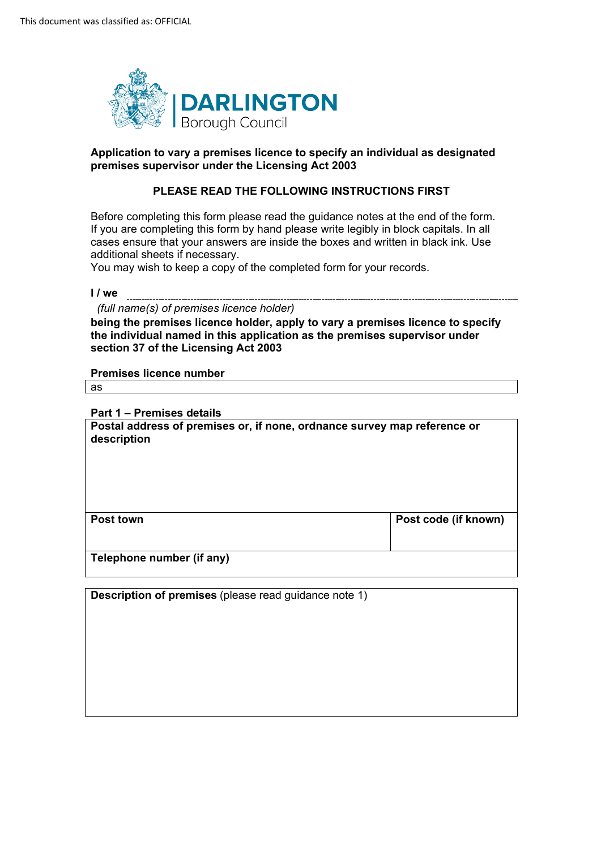

## **Application to vary a premises licence to specify an individual as designated premises supervisor under the Licensing Act 2003**

## **PLEASE READ THE FOLLOWING INSTRUCTIONS FIRST**

Before completing this form please read the guidance notes at the end of the form. If you are completing this form by hand please write legibly in block capitals. In all cases ensure that your answers are inside the boxes and written in black ink. Use additional sheets if necessary.

You may wish to keep a copy of the completed form for your records.

#### **I / we**

*(full name(s) of premises licence holder)* 

**being the premises licence holder, apply to vary a premises licence to specify the individual named in this application as the premises supervisor under section 37 of the Licensing Act 2003** 

#### **Premises licence number**

as

#### **Part 1 – Premises details**

**Postal address of premises or, if none, ordnance survey map reference or description** 

| <b>Post town</b>          | Post code (if known) |
|---------------------------|----------------------|
| Telephone number (if any) |                      |

**Description of premises** (please read guidance note 1)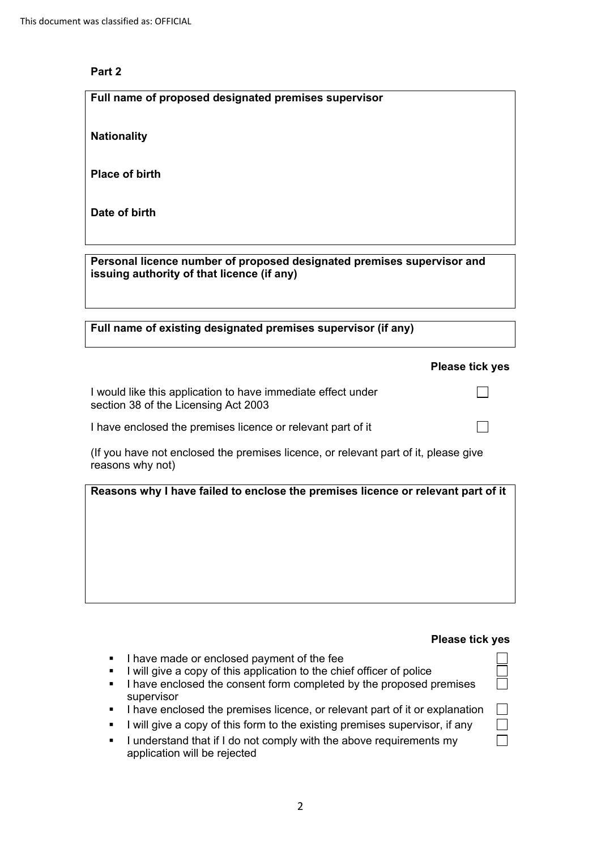# **Part 2**

**Full name of proposed designated premises supervisor** 

**Nationality** 

**Place of birth** 

**Date of birth** 

**Personal licence number of proposed designated premises supervisor and issuing authority of that licence (if any)** 

| Full name of existing designated premises supervisor (if any) |  |  |
|---------------------------------------------------------------|--|--|
|---------------------------------------------------------------|--|--|

|                                                                                                         | <b>Please tick yes</b> |
|---------------------------------------------------------------------------------------------------------|------------------------|
| I would like this application to have immediate effect under<br>section 38 of the Licensing Act 2003    |                        |
| I have enclosed the premises licence or relevant part of it                                             |                        |
| (If you have not enclosed the premises licence, or relevant part of it, please give<br>reasons why not) |                        |
| Reasons why I have failed to enclose the premises licence or relevant part of it                        |                        |

## **Please tick yes**

□ □ □

口<br>口 □ □

- I have made or enclosed payment of the fee
- I will give a copy of this application to the chief officer of police
- I have enclosed the consent form completed by the proposed premises supervisor
- I have enclosed the premises licence, or relevant part of it or explanation
- I will give a copy of this form to the existing premises supervisor, if any
- I understand that if I do not comply with the above requirements my application will be rejected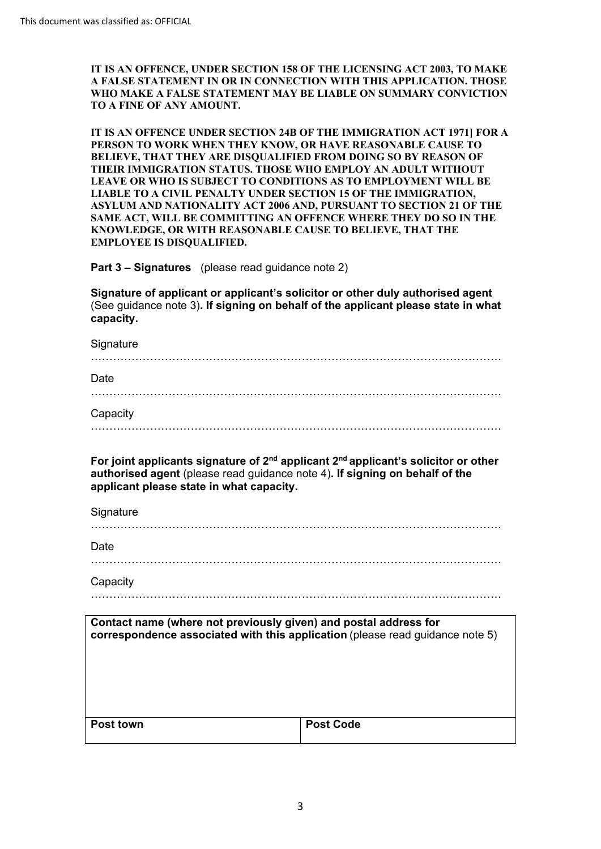**IT IS AN OFFENCE, UNDER SECTION 158 OF THE LICENSING ACT 2003, TO MAKE A FALSE STATEMENT IN OR IN CONNECTION WITH THIS APPLICATION. THOSE WHO MAKE A FALSE STATEMENT MAY BE LIABLE ON SUMMARY CONVICTION TO A FINE OF ANY AMOUNT.** 

**IT IS AN OFFENCE UNDER SECTION 24B OF THE IMMIGRATION ACT 1971] FOR A PERSON TO WORK WHEN THEY KNOW, OR HAVE REASONABLE CAUSE TO BELIEVE, THAT THEY ARE DISQUALIFIED FROM DOING SO BY REASON OF THEIR IMMIGRATION STATUS. THOSE WHO EMPLOY AN ADULT WITHOUT LEAVE OR WHO IS SUBJECT TO CONDITIONS AS TO EMPLOYMENT WILL BE LIABLE TO A CIVIL PENALTY UNDER SECTION 15 OF THE IMMIGRATION, ASYLUM AND NATIONALITY ACT 2006 AND, PURSUANT TO SECTION 21 OF THE SAME ACT, WILL BE COMMITTING AN OFFENCE WHERE THEY DO SO IN THE KNOWLEDGE, OR WITH REASONABLE CAUSE TO BELIEVE, THAT THE EMPLOYEE IS DISQUALIFIED.** 

**Part 3 – Signatures** (please read guidance note 2)

**Signature of applicant or applicant's solicitor or other duly authorised agent**  (See guidance note 3)**. If signing on behalf of the applicant please state in what capacity.** 

| Signature                                                                                                                                                                                                               |
|-------------------------------------------------------------------------------------------------------------------------------------------------------------------------------------------------------------------------|
| Date                                                                                                                                                                                                                    |
| Capacity                                                                                                                                                                                                                |
|                                                                                                                                                                                                                         |
| For joint applicants signature of $2^{nd}$ applicant $2^{nd}$ applicant's solicitor or other<br>authorised agent (please read guidance note 4). If signing on behalf of the<br>applicant please state in what capacity. |
| Signature                                                                                                                                                                                                               |

…………………………………………………………………………………………………

Capacity

Capacity …………………………………………………………………………………………………

| Contact name (where not previously given) and postal address for<br>correspondence associated with this application (please read quidance note 5) |                  |
|---------------------------------------------------------------------------------------------------------------------------------------------------|------------------|
| <b>Post town</b>                                                                                                                                  | <b>Post Code</b> |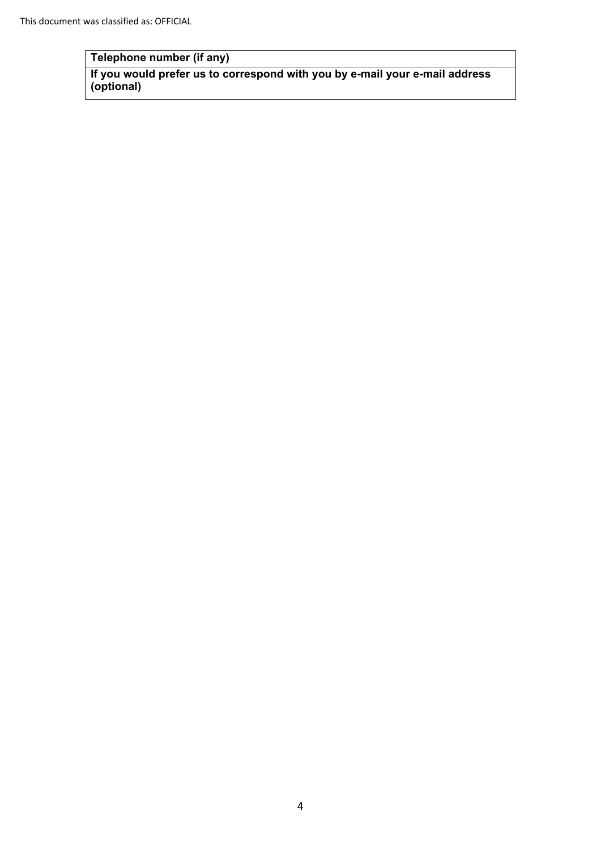# **Telephone number (if any)**

Telephone number (if any)<br>If you would prefer us to correspond with you by e-mail your e-mail address **(optional)**